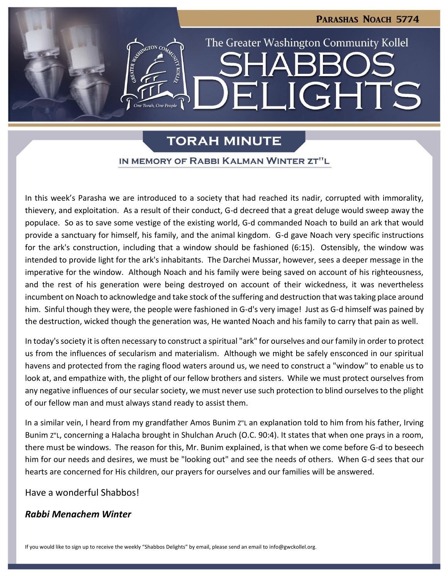LIGHTS

The Greater Washington Community Kollel

## **TORAH MINUTE**

 $\blacksquare$ 

#### IN MEMORY OF RABBI KALMAN WINTER ZT"L

In this week's Parasha we are introduced to a society that had reached its nadir, corrupted with immorality, thievery, and exploitation. As a result of their conduct, G-d decreed that a great deluge would sweep away the populace. So as to save some vestige of the existing world, G-d commanded Noach to build an ark that would provide a sanctuary for himself, his family, and the animal kingdom. G-d gave Noach very specific instructions for the ark's construction, including that a window should be fashioned (6:15). Ostensibly, the window was intended to provide light for the ark's inhabitants. The Darchei Mussar, however, sees a deeper message in the imperative for the window. Although Noach and his family were being saved on account of his righteousness, and the rest of his generation were being destroyed on account of their wickedness, it was nevertheless incumbent on Noach to acknowledge and take stock of the suffering and destruction that was taking place around him. Sinful though they were, the people were fashioned in G-d's very image! Just as G-d himself was pained by the destruction, wicked though the generation was, He wanted Noach and his family to carry that pain as well.

In today's society it is often necessary to construct a spiritual "ark" for ourselves and our family in order to protect us from the influences of secularism and materialism. Although we might be safely ensconced in our spiritual havens and protected from the raging flood waters around us, we need to construct a "window" to enable us to look at, and empathize with, the plight of our fellow brothers and sisters. While we must protect ourselves from any negative influences of our secular society, we must never use such protection to blind ourselves to the plight of our fellow man and must always stand ready to assist them.

In a similar vein, I heard from my grandfather Amos Bunim Z"L an explanation told to him from his father, Irving Bunim Z"L, concerning a Halacha brought in Shulchan Aruch (O.C. 90:4). It states that when one prays in a room, there must be windows. The reason for this, Mr. Bunim explained, is that when we come before G-d to beseech him for our needs and desires, we must be "looking out" and see the needs of others. When G-d sees that our hearts are concerned for His children, our prayers for ourselves and our families will be answered.

Have a wonderful Shabbos!

### *Rabbi Menachem Winter*